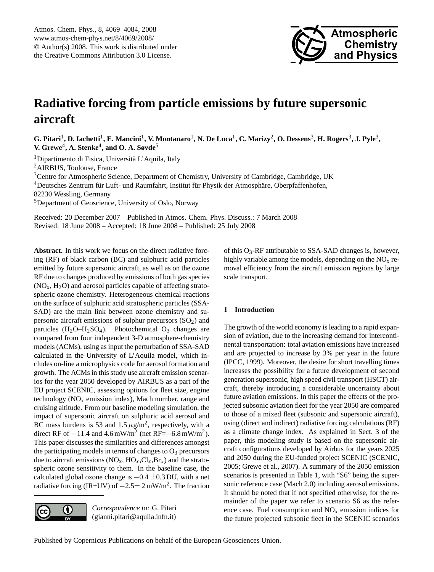

# <span id="page-0-0"></span>**Radiative forcing from particle emissions by future supersonic aircraft**

G. Pitari<sup>1</sup>, D. Iachetti<sup>1</sup>, E. Mancini<sup>1</sup>, V. Montanaro<sup>1</sup>, N. De Luca<sup>1</sup>, C. Marizy<sup>2</sup>, O. Dessens<sup>3</sup>, H. Rogers<sup>3</sup>, J. Pyle<sup>3</sup>, **V. Grewe**<sup>4</sup> **, A. Stenke**<sup>4</sup> **, and O. A. Søvde**<sup>5</sup>

<sup>1</sup>Dipartimento di Fisica, Università L'Aquila, Italy

<sup>2</sup>AIRBUS, Toulouse, France

<sup>3</sup>Centre for Atmospheric Science, Department of Chemistry, University of Cambridge, Cambridge, UK

<sup>4</sup>Deutsches Zentrum für Luft- und Raumfahrt, Institut für Physik der Atmosphäre, Oberpfaffenhofen,

82230 Wessling, Germany

<sup>5</sup>Department of Geoscience, University of Oslo, Norway

Received: 20 December 2007 – Published in Atmos. Chem. Phys. Discuss.: 7 March 2008 Revised: 18 June 2008 – Accepted: 18 June 2008 – Published: 25 July 2008

**Abstract.** In this work we focus on the direct radiative forcing (RF) of black carbon (BC) and sulphuric acid particles emitted by future supersonic aircraft, as well as on the ozone RF due to changes produced by emissions of both gas species  $(NO<sub>x</sub>, H<sub>2</sub>O)$  and aerosol particles capable of affecting stratospheric ozone chemistry. Heterogeneous chemical reactions on the surface of sulphuric acid stratospheric particles (SSA-SAD) are the main link between ozone chemistry and supersonic aircraft emissions of sulphur precursors  $(SO<sub>2</sub>)$  and particles  $(H_2O-H_2SO_4)$ . Photochemical  $O_3$  changes are compared from four independent 3-D atmosphere-chemistry models (ACMs), using as input the perturbation of SSA-SAD calculated in the University of L'Aquila model, which includes on-line a microphysics code for aerosol formation and growth. The ACMs in this study use aircraft emission scenarios for the year 2050 developed by AIRBUS as a part of the EU project SCENIC, assessing options for fleet size, engine technology ( $NO<sub>x</sub>$  emission index), Mach number, range and cruising altitude. From our baseline modeling simulation, the impact of supersonic aircraft on sulphuric acid aerosol and BC mass burdens is 53 and  $1.5 \mu g/m^2$ , respectively, with a direct RF of  $-11.4$  and  $4.6$  mW/m<sup>2</sup> (net RF= $-6.8$  mW/m<sup>2</sup>). This paper discusses the similarities and differences amongst the participating models in terms of changes to  $O_3$  precursors due to aircraft emissions ( $NO_x$ ,  $HO_x$ ,  $Cl_x$ ,  $Br_x$ ) and the stratospheric ozone sensitivity to them. In the baseline case, the calculated global ozone change is  $-0.4 \pm 0.3$  DU, with a net radiative forcing (IR+UV) of  $-2.5 \pm 2$  mW/m<sup>2</sup>. The fraction

*Correspondence to:* G. Pitari  $\left( \cdot \right)$ (gianni.pitari@aquila.infn.it)

of this  $O_3$ -RF attributable to SSA-SAD changes is, however, highly variable among the models, depending on the  $NO<sub>x</sub>$  removal efficiency from the aircraft emission regions by large scale transport.

# **1 Introduction**

The growth of the world economy is leading to a rapid expansion of aviation, due to the increasing demand for intercontinental transportation: total aviation emissions have increased and are projected to increase by 3% per year in the future (IPCC, 1999). Moreover, the desire for short travelling times increases the possibility for a future development of second generation supersonic, high speed civil transport (HSCT) aircraft, thereby introducing a considerable uncertainty about future aviation emissions. In this paper the effects of the projected subsonic aviation fleet for the year 2050 are compared to those of a mixed fleet (subsonic and supersonic aircraft), using (direct and indirect) radiative forcing calculations (RF) as a climate change index. As explained in Sect. 3 of the paper, this modeling study is based on the supersonic aircraft configurations developed by Airbus for the years 2025 and 2050 during the EU-funded project SCENIC (SCENIC, 2005; Grewe et al., 2007). A summary of the 2050 emission scenarios is presented in Table 1, with "S6" being the supersonic reference case (Mach 2.0) including aerosol emissions. It should be noted that if not specified otherwise, for the remainder of the paper we refer to scenario S6 as the reference case. Fuel consumption and  $NO<sub>x</sub>$  emission indices for the future projected subsonic fleet in the SCENIC scenarios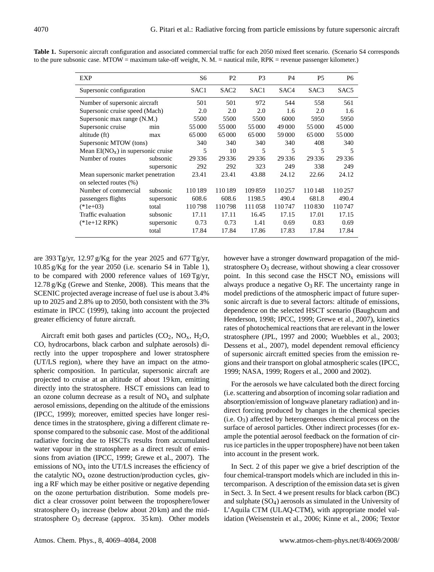| EXP                                 |            | S6               | P <sub>2</sub>   | P <sub>3</sub> | P <sub>4</sub> | <b>P5</b>        | P <sub>6</sub> |
|-------------------------------------|------------|------------------|------------------|----------------|----------------|------------------|----------------|
| Supersonic configuration            |            | SAC <sub>1</sub> | SAC <sub>2</sub> | SAC1           | SAC4           | SAC <sub>3</sub> | SAC5           |
| Number of supersonic aircraft       |            | 501              | 501              | 972            | 544            | 558              | 561            |
| Supersonic cruise speed (Mach)      |            | 2.0              | 2.0              | 2.0            | 1.6            | 2.0              | 1.6            |
| Supersonic max range (N.M.)         |            | 5500             | 5500             | 5500           | 6000           | 5950             | 5950           |
| Supersonic cruise                   | min        | 55 000           | 55 000           | 55 000         | 49 000         | 55 000           | 45 000         |
| altitude (ft)                       | max        | 65 000           | 65 000           | 65 000         | 59 000         | 65 000           | 55000          |
| Supersonic MTOW (tons)              |            | 340              | 340              | 340            | 340            | 408              | 340            |
| Mean $EI(NOx)$ in supersonic cruise |            | 5                | 10               | 5              | 5              | 5                | 5              |
| Number of routes                    | subsonic   | 29 3 36          | 29 3 36          | 29 3 36        | 29 3 36        | 29 3 36          | 29336          |
|                                     | supersonic | 292              | 292              | 323            | 249            | 338              | 249            |
| Mean supersonic market penetration  |            | 23.41            | 23.41            | 43.88          | 24.12          | 22.66            | 24.12          |
| on selected routes (%)              |            |                  |                  |                |                |                  |                |
| Number of commercial                | subsonic   | 110189           | 110189           | 109859         | 110257         | 110148           | 110257         |
| passengers flights                  | supersonic | 608.6            | 608.6            | 1198.5         | 490.4          | 681.8            | 490.4          |
| $(*1e+03)$                          | total      | 110798           | 110798           | 111058         | 110747         | 110830           | 110747         |
| Traffic evaluation                  | subsonic   | 17.11            | 17.11            | 16.45          | 17.15          | 17.01            | 17.15          |
| $(*1e+12$ RPK)                      | supersonic | 0.73             | 0.73             | 1.41           | 0.69           | 0.83             | 0.69           |
|                                     | total      | 17.84            | 17.84            | 17.86          | 17.83          | 17.84            | 17.84          |
|                                     |            |                  |                  |                |                |                  |                |

**Table 1.** Supersonic aircraft configuration and associated commercial traffic for each 2050 mixed fleet scenario. (Scenario S4 corresponds to the pure subsonic case. MTOW = maximum take-off weight, N. M. = nautical mile, RPK = revenue passenger kilometer.)

are 393 Tg/yr, 12.97 g/Kg for the year 2025 and 677 Tg/yr, 10.85 g/Kg for the year 2050 (i.e. scenario S4 in Table 1), to be compared with 2000 reference values of 169 Tg/yr, 12.78 g/Kg (Grewe and Stenke, 2008). This means that the SCENIC projected average increase of fuel use is about 3.4% up to 2025 and 2.8% up to 2050, both consistent with the 3% estimate in IPCC (1999), taking into account the projected greater efficiency of future aircraft.

Aircraft emit both gases and particles  $(CO_2, NO_x, H_2O,$ CO, hydrocarbons, black carbon and sulphate aerosols) directly into the upper troposphere and lower stratosphere (UT/LS region), where they have an impact on the atmospheric composition. In particular, supersonic aircraft are projected to cruise at an altitude of about 19 km, emitting directly into the stratosphere. HSCT emissions can lead to an ozone column decrease as a result of  $NO<sub>x</sub>$  and sulphate aerosol emissions, depending on the altitude of the emissions (IPCC, 1999); moreover, emitted species have longer residence times in the stratosphere, giving a different climate response compared to the subsonic case. Most of the additional radiative forcing due to HSCTs results from accumulated water vapour in the stratosphere as a direct result of emissions from aviation (IPCC, 1999; Grewe et al., 2007). The emissions of  $NO<sub>x</sub>$  into the UT/LS increases the efficiency of the catalytic  $NO<sub>x</sub>$  ozone destruction/production cycles, giving a RF which may be either positive or negative depending on the ozone perturbation distribution. Some models predict a clear crossover point between the troposphere/lower stratosphere  $O_3$  increase (below about 20 km) and the midstratosphere  $O_3$  decrease (approx. 35 km). Other models however have a stronger downward propagation of the midstratosphere  $O_3$  decrease, without showing a clear crossover point. In this second case the HSCT  $NO<sub>x</sub>$  emissions will always produce a negative  $O_3$  RF. The uncertainty range in model predictions of the atmospheric impact of future supersonic aircraft is due to several factors: altitude of emissions, dependence on the selected HSCT scenario (Baughcum and Henderson, 1998; IPCC, 1999; Grewe et al., 2007), kinetics rates of photochemical reactions that are relevant in the lower stratosphere (JPL, 1997 and 2000; Wuebbles et al., 2003; Dessens et al., 2007), model dependent removal efficiency of supersonic aircraft emitted species from the emission regions and their transport on global atmospheric scales (IPCC, 1999; NASA, 1999; Rogers et al., 2000 and 2002).

For the aerosols we have calculated both the direct forcing (i.e. scattering and absorption of incoming solar radiation and absorption/emission of longwave planetary radiation) and indirect forcing produced by changes in the chemical species  $(i.e. O<sub>3</sub>)$  affected by heterogeneous chemical process on the surface of aerosol particles. Other indirect processes (for example the potential aerosol feedback on the formation of cirrus ice particles in the upper troposphere) have not been taken into account in the present work.

In Sect. 2 of this paper we give a brief description of the four chemical-transport models which are included in this intercomparison. A description of the emission data set is given in Sect. 3. In Sect. 4 we present results for black carbon (BC) and sulphate  $(SO<sub>4</sub>)$  aerosols as simulated in the University of L'Aquila CTM (ULAQ-CTM), with appropriate model validation (Weisenstein et al., 2006; Kinne et al., 2006; Textor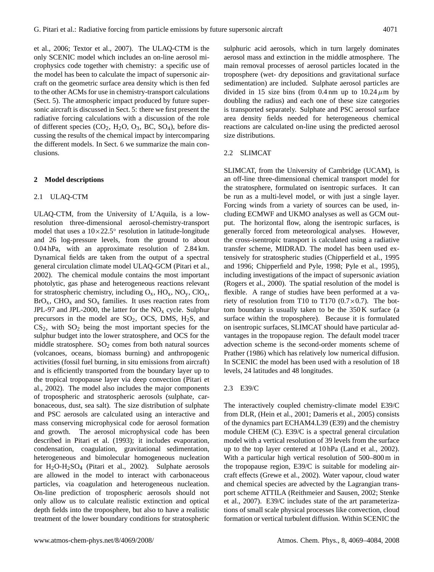et al., 2006; Textor et al., 2007). The ULAQ-CTM is the only SCENIC model which includes an on-line aerosol microphysics code together with chemistry: a specific use of the model has been to calculate the impact of supersonic aircraft on the geometric surface area density which is then fed to the other ACMs for use in chemistry-transport calculations (Sect. 5). The atmospheric impact produced by future supersonic aircraft is discussed in Sect. 5: there we first present the radiative forcing calculations with a discussion of the role of different species  $(CO_2, H_2O, O_3, BC, SO_4)$ , before discussing the results of the chemical impact by intercomparing the different models. In Sect. 6 we summarize the main conclusions.

## **2 Model descriptions**

## 2.1 ULAQ-CTM

ULAQ-CTM, from the University of L'Aquila, is a lowresolution three-dimensional aerosol-chemistry-transport model that uses a 10×22.5◦ resolution in latitude-longitude and 26 log-pressure levels, from the ground to about 0.04 hPa, with an approximate resolution of 2.84 km. Dynamical fields are taken from the output of a spectral general circulation climate model ULAQ-GCM (Pitari et al., 2002). The chemical module contains the most important photolytic, gas phase and heterogeneous reactions relevant for stratospheric chemistry, including  $O_x$ ,  $HO_x$ ,  $NO_y$ ,  $ClO_x$ ,  $BrO<sub>x</sub>$ , CHO<sub>x</sub> and SO<sub>x</sub> families. It uses reaction rates from JPL-97 and JPL-2000, the latter for the  $NO<sub>x</sub>$  cycle. Sulphur precursors in the model are  $SO_2$ , OCS, DMS, H<sub>2</sub>S, and  $CS<sub>2</sub>$ , with  $SO<sub>2</sub>$  being the most important species for the sulphur budget into the lower stratosphere, and OCS for the middle stratosphere.  $SO<sub>2</sub>$  comes from both natural sources (volcanoes, oceans, biomass burning) and anthropogenic activities (fossil fuel burning, in situ emissions from aircraft) and is efficiently transported from the boundary layer up to the tropical tropopause layer via deep convection (Pitari et al., 2002). The model also includes the major components of tropospheric and stratospheric aerosols (sulphate, carbonaceous, dust, sea salt). The size distribution of sulphate and PSC aerosols are calculated using an interactive and mass conserving microphysical code for aerosol formation and growth. The aerosol microphysical code has been described in Pitari et al. (1993); it includes evaporation, condensation, coagulation, gravitational sedimentation, heterogeneous and bimolecular homogeneous nucleation for  $H_2O-H_2SO_4$  (Pitari et al., 2002). Sulphate aerosols are allowed in the model to interact with carbonaceous particles, via coagulation and heterogeneous nucleation. On-line prediction of tropospheric aerosols should not only allow us to calculate realistic extinction and optical depth fields into the troposphere, but also to have a realistic treatment of the lower boundary conditions for stratospheric sulphuric acid aerosols, which in turn largely dominates aerosol mass and extinction in the middle atmosphere. The main removal processes of aerosol particles located in the troposphere (wet- dry depositions and gravitational surface sedimentation) are included. Sulphate aerosol particles are divided in 15 size bins (from 0.4 nm up to  $10.24 \mu m$  by doubling the radius) and each one of these size categories is transported separately. Sulphate and PSC aerosol surface area density fields needed for heterogeneous chemical reactions are calculated on-line using the predicted aerosol size distributions.

## 2.2 SLIMCAT

SLIMCAT, from the University of Cambridge (UCAM), is an off-line three-dimensional chemical transport model for the stratosphere, formulated on isentropic surfaces. It can be run as a multi-level model, or with just a single layer. Forcing winds from a variety of sources can be used, including ECMWF and UKMO analyses as well as GCM output. The horizontal flow, along the isentropic surfaces, is generally forced from meteorological analyses. However, the cross-isentropic transport is calculated using a radiative transfer scheme, MIDRAD. The model has been used extensively for stratospheric studies (Chipperfield et al., 1995 and 1996; Chipperfield and Pyle, 1998; Pyle et al., 1995), including investigations of the impact of supersonic aviation (Rogers et al., 2000). The spatial resolution of the model is flexible. A range of studies have been performed at a variety of resolution from T10 to T170  $(0.7 \times 0.7)$ . The bottom boundary is usually taken to be the 350 K surface (a surface within the troposphere). Because it is formulated on isentropic surfaces, SLIMCAT should have particular advantages in the tropopause region. The default model tracer advection scheme is the second-order moments scheme of Prather (1986) which has relatively low numerical diffusion. In SCENIC the model has been used with a resolution of 18 levels, 24 latitudes and 48 longitudes.

## 2.3 E39/C

The interactively coupled chemistry-climate model E39/C from DLR, (Hein et al., 2001; Dameris et al., 2005) consists of the dynamics part ECHAM4.L39 (E39) and the chemistry module CHEM (C). E39/C is a spectral general circulation model with a vertical resolution of 39 levels from the surface up to the top layer centered at 10 hPa (Land et al., 2002). With a particular high vertical resolution of 500–800 m in the tropopause region, E39/C is suitable for modeling aircraft effects (Grewe et al., 2002). Water vapour, cloud water and chemical species are advected by the Lagrangian transport scheme ATTILA (Reithmeier and Sausen, 2002; Stenke et al., 2007). E39/C includes state of the art parameterizations of small scale physical processes like convection, cloud formation or vertical turbulent diffusion. Within SCENIC the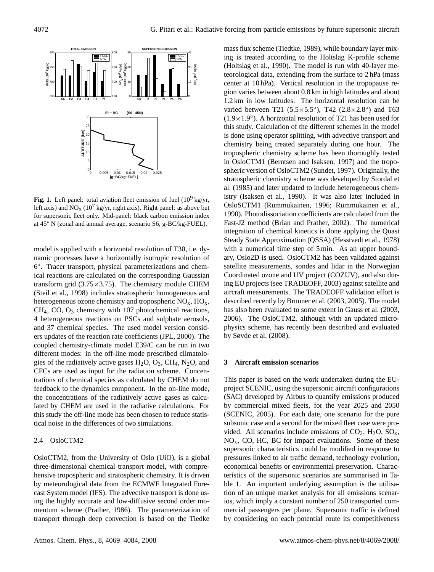

**Fig. 1.** Left panel: total aviation fleet emission of fuel  $(10^9 \text{ kg/yr})$ left axis) and  $NO_x (10^{7} \text{ kg/yr}, \text{right axis})$ . Right panel: as above but for supersonic fleet only. Mid-panel: black carbon emission index at 45◦ N (zonal and annual average, scenario S6, g-BC/kg-FUEL).

model is applied with a horizontal resolution of T30, i.e. dynamic processes have a horizontally isotropic resolution of 6 ◦ . Tracer transport, physical parameterizations and chemical reactions are calculated on the corresponding Gaussian transform grid  $(3.75 \times 3.75)$ . The chemistry module CHEM (Steil et al., 1998) includes stratospheric homogeneous and heterogeneous ozone chemistry and tropospheric  $NO<sub>x</sub>$ ,  $HO<sub>x</sub>$ ,  $CH<sub>4</sub>, CO, O<sub>3</sub>$  chemistry with 107 photochemical reactions, 4 heterogeneous reactions on PSCs and sulphate aerosols, and 37 chemical species. The used model version considers updates of the reaction rate coefficients (JPL, 2000). The coupled chemistry-climate model E39/C can be run in two different modes: in the off-line mode prescribed climatologies of the radiatively active gases  $H_2O$ ,  $O_3$ ,  $CH_4$ ,  $N_2O$ , and CFCs are used as input for the radiation scheme. Concentrations of chemical species as calculated by CHEM do not feedback to the dynamics component. In the on-line mode, the concentrations of the radiatively active gases as calculated by CHEM are used in the radiative calculations. For this study the off-line mode has been chosen to reduce statistical noise in the differences of two simulations.

## 2.4 OsloCTM2

OsloCTM2, from the University of Oslo (UiO), is a global three-dimensional chemical transport model, with comprehensive tropospheric and stratospheric chemistry. It is driven by meteorological data from the ECMWF Integrated Forecast System model (IFS). The advective transport is done using the highly accurate and low-diffusive second order momentum scheme (Prather, 1986). The parameterization of transport through deep convection is based on the Tiedke mass flux scheme (Tiedtke, 1989), while boundary layer mixing is treated according to the Holtslag K-profile scheme (Holtslag et al., 1990). The model is run with 40-layer meteorological data, extending from the surface to 2 hPa (mass center at 10 hPa). Vertical resolution in the tropopause region varies between about 0.8 km in high latitudes and about 1.2 km in low latitudes. The horizontal resolution can be varied between T21 ( $5.5 \times 5.5^{\circ}$ ), T42 ( $2.8 \times 2.8^{\circ}$ ) and T63 (1.9×1.9◦ ). A horizontal resolution of T21 has been used for this study. Calculation of the different schemes in the model is done using operator splitting, with advective transport and chemistry being treated separately during one hour. The tropospheric chemistry scheme has been thoroughly tested in OsloCTM1 (Berntsen and Isaksen, 1997) and the tropospheric version of OsloCTM2 (Sundet, 1997). Originally, the stratospheric chemistry scheme was developed by Stordal et al. (1985) and later updated to include heterogeneous chemistry (Isaksen et al., 1990). It was also later included in OsloSCTM1 (Rummukainen, 1996; Rummukainen et al., 1990). Photodissociation coefficients are calculated from the Fast-J2 method (Brian and Prather, 2002). The numerical integration of chemical kinetics is done applying the Quasi Steady State Approximation (QSSA) (Hesstvedt et al., 1978) with a numerical time step of 5 min. As an upper boundary, Oslo2D is used. OsloCTM2 has been validated against satellite measurements, sondes and lidar in the Norwegian Coordinated ozone and UV project (COZUV), and also during EU projects (see TRADEOFF, 2003) against satellite and aircraft measurements. The TRADEOFF validation effort is described recently by Brunner et al. (2003, 2005). The model has also been evaluated to some extent in Gauss et al. (2003, 2006). The OsloCTM2, although with an updated microphysics scheme, has recently been described and evaluated by Søvde et al. (2008).

# **3 Aircraft emission scenarios**

This paper is based on the work undertaken during the EUproject SCENIC, using the supersonic aircraft configurations (SAC) developed by Airbus to quantify emissions produced by commercial mixed fleets, for the year 2025 and 2050 (SCENIC, 2005). For each date, one scenario for the pure subsonic case and a second for the mixed fleet case were provided. All scenarios include emissions of  $CO_2$ ,  $H_2O$ ,  $SO_x$ ,  $NO<sub>x</sub>$ , CO, HC, BC for impact evaluations. Some of these supersonic characteristics could be modified in response to pressures linked to air traffic demand, technology evolution, economical benefits or environmental preservation. Characteristics of the supersonic scenarios are summarised in Table 1. An important underlying assumption is the utilisation of an unique market analysis for all emissions scenarios, which imply a constant number of 250 transported commercial passengers per plane. Supersonic traffic is defined by considering on each potential route its competitiveness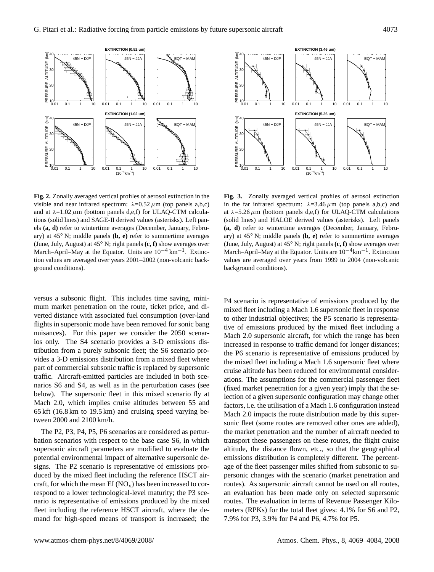

**Fig. 2.** Zonally averaged vertical profiles of aerosol extinction in the visible and near infrared spectrum:  $\lambda = 0.52 \mu$ m (top panels a,b,c) and at  $\lambda = 1.02 \mu m$  (bottom panels d,e,f) for ULAQ-CTM calculations (solid lines) and SAGE-II derived values (asterisks). Left panels **(a, d)** refer to wintertime averages (December, January, February) at 45◦ N; middle panels **(b, e)** refer to summertime averages (June, July, August) at 45◦ N; right panels **(c, f)** show averages over March–April–May at the Equator. Units are  $10^{-4}$  km<sup>-1</sup>. Extinction values are averaged over years 2001–2002 (non-volcanic background conditions).

versus a subsonic flight. This includes time saving, minimum market penetration on the route, ticket price, and diverted distance with associated fuel consumption (over-land flights in supersonic mode have been removed for sonic bang nuisances). For this paper we consider the 2050 scenarios only. The S4 scenario provides a 3-D emissions distribution from a purely subsonic fleet; the S6 scenario provides a 3-D emissions distribution from a mixed fleet where part of commercial subsonic traffic is replaced by supersonic traffic. Aircraft-emitted particles are included in both scenarios S6 and S4, as well as in the perturbation cases (see below). The supersonic fleet in this mixed scenario fly at Mach 2.0, which implies cruise altitudes between 55 and 65 kft (16.8 km to 19.5 km) and cruising speed varying between 2000 and 2100 km/h.

The P2, P3, P4, P5, P6 scenarios are considered as perturbation scenarios with respect to the base case S6, in which supersonic aircraft parameters are modified to evaluate the potential environmental impact of alternative supersonic designs. The P2 scenario is representative of emissions produced by the mixed fleet including the reference HSCT aircraft, for which the mean  $EI(NO_x)$  has been increased to correspond to a lower technological-level maturity; the P3 scenario is representative of emissions produced by the mixed fleet including the reference HSCT aircraft, where the demand for high-speed means of transport is increased; the



**Fig. 3.** Zonally averaged vertical profiles of aerosol extinction in the far infrared spectrum:  $\lambda = 3.46 \,\mu \text{m}$  (top panels a,b,c) and at  $\lambda = 5.26 \,\mu\text{m}$  (bottom panels d,e,f) for ULAQ-CTM calculations (solid lines) and HALOE derived values (asterisks). Left panels **(a, d)** refer to wintertime averages (December, January, February) at 45◦ N; middle panels **(b, e)** refer to summertime averages (June, July, August) at 45◦ N; right panels **(c, f)** show averages over March–April–May at the Equator. Units are  $10^{-4}$ km<sup>-1</sup>. Extinction values are averaged over years from 1999 to 2004 (non-volcanic background conditions).

P4 scenario is representative of emissions produced by the mixed fleet including a Mach 1.6 supersonic fleet in response to other industrial objectives; the P5 scenario is representative of emissions produced by the mixed fleet including a Mach 2.0 supersonic aircraft, for which the range has been increased in response to traffic demand for longer distances; the P6 scenario is representative of emissions produced by the mixed fleet including a Mach 1.6 supersonic fleet where cruise altitude has been reduced for environmental considerations. The assumptions for the commercial passenger fleet (fixed market penetration for a given year) imply that the selection of a given supersonic configuration may change other factors, i.e. the utilisation of a Mach 1.6 configuration instead Mach 2.0 impacts the route distribution made by this supersonic fleet (some routes are removed other ones are added), the market penetration and the number of aircraft needed to transport these passengers on these routes, the flight cruise altitude, the distance flown, etc., so that the geographical emissions distribution is completely different. The percentage of the fleet passenger miles shifted from subsonic to supersonic changes with the scenario (market penetration and routes). As supersonic aircraft cannot be used on all routes, an evaluation has been made only on selected supersonic routes. The evaluation in terms of Revenue Passenger Kilometers (RPKs) for the total fleet gives: 4.1% for S6 and P2, 7.9% for P3, 3.9% for P4 and P6, 4.7% for P5.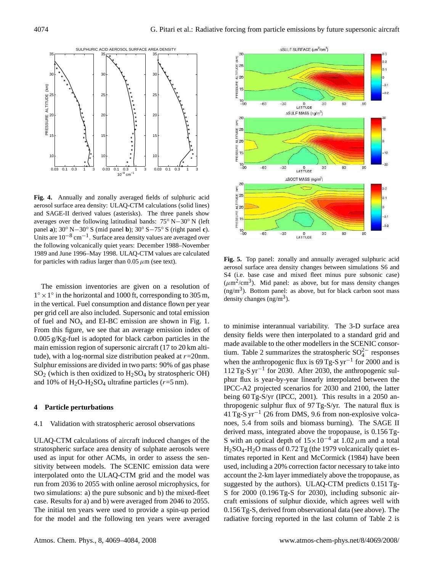

**Fig. 4.** Annually and zonally averaged fields of sulphuric acid aerosol surface area density: ULAQ-CTM calculations (solid lines) and SAGE-II derived values (asterisks). The three panels show averages over the following latitudinal bands: 75◦ N−30◦ N (left panel **a**); 30◦ N−30◦ S (mid panel **b**); 30◦ S−75◦ S (right panel **c**). Units are 10−<sup>8</sup> cm−<sup>1</sup> . Surface area density values are averaged over the following volcanically quiet years: December 1988–November 1989 and June 1996–May 1998. ULAQ-CTM values are calculated for particles with radius larger than  $0.05 \mu$ m (see text).

The emission inventories are given on a resolution of  $1^\circ \times 1^\circ$  in the horizontal and 1000 ft, corresponding to 305 m, in the vertical. Fuel consumption and distance flown per year per grid cell are also included. Supersonic and total emission of fuel and  $NO<sub>x</sub>$  and EI-BC emission are shown in Fig. 1. From this figure, we see that an average emission index of 0.005 g/Kg-fuel is adopted for black carbon particles in the main emission region of supersonic aircraft (17 to 20 km altitude), with a log-normal size distribution peaked at  $r=20$ nm. Sulphur emissions are divided in two parts: 90% of gas phase  $SO<sub>2</sub>$  (which is then oxidized to  $H<sub>2</sub>SO<sub>4</sub>$  by stratospheric OH) and 10% of  $H_2O-H_2SO_4$  ultrafine particles ( $r=5$  nm).

#### **4 Particle perturbations**

## 4.1 Validation with stratospheric aerosol observations

ULAQ-CTM calculations of aircraft induced changes of the stratospheric surface area density of sulphate aerosols were used as input for other ACMs, in order to assess the sensitivity between models. The SCENIC emission data were interpolated onto the ULAQ-CTM grid and the model was run from 2036 to 2055 with online aerosol microphysics, for two simulations: a) the pure subsonic and b) the mixed-fleet case. Results for a) and b) were averaged from 2046 to 2055. The initial ten years were used to provide a spin-up period for the model and the following ten years were averaged



**Fig. 5.** Top panel: zonally and annually averaged sulphuric acid aerosol surface area density changes between simulations S6 and S4 (i.e. base case and mixed fleet minus pure subsonic case)  $(\mu m^2/cm^3)$ . Mid panel: as above, but for mass density changes (ng/m<sup>3</sup> ). Bottom panel: as above, but for black carbon soot mass density changes  $(ng/m<sup>3</sup>)$ .

to minimise interannual variability. The 3-D surface area density fields were then interpolated to a standard grid and made available to the other modellers in the SCENIC consortium. Table 2 summarizes the stratospheric  $SO_4^{2-}$  responses when the anthropogenic flux is  $69$  Tg-S yr<sup>-1</sup> for 2000 and is 112 Tg-S yr−<sup>1</sup> for 2030. After 2030, the anthropogenic sulphur flux is year-by-year linearly interpolated between the IPCC-A2 projected scenarios for 2030 and 2100, the latter being 60 Tg-S/yr (IPCC, 2001). This results in a 2050 anthropogenic sulphur flux of 97 Tg-S/yr. The natural flux is 41 Tg-S yr−<sup>1</sup> (26 from DMS, 9.6 from non-explosive volcanoes, 5.4 from soils and biomass burning). The SAGE II derived mass, integrated above the tropopause, is 0.156 Tg-S with an optical depth of  $15 \times 10^{-4}$  at 1.02  $\mu$ m and a total H2SO4-H2O mass of 0.72 Tg (the 1979 volcanically quiet estimates reported in Kent and McCormick (1984) have been used, including a 20% correction factor necessary to take into account the 2-km layer immediately above the tropopause, as suggested by the authors). ULAQ-CTM predicts 0.151 Tg-S for 2000 (0.196 Tg-S for 2030), including subsonic aircraft emissions of sulphur dioxide, which agrees well with 0.156 Tg-S, derived from observational data (see above). The radiative forcing reported in the last column of Table 2 is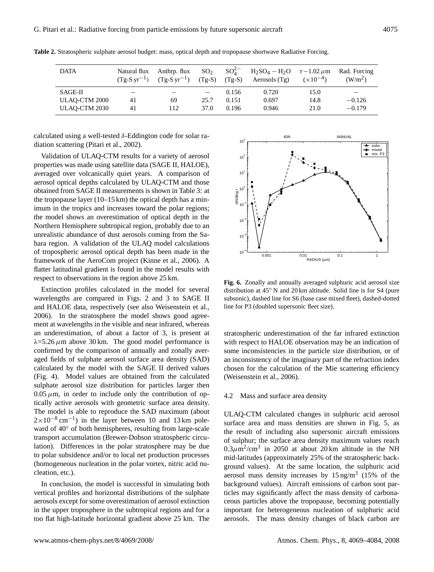| <b>DATA</b>   | Natural flux | Anthrp. flux<br>$(Tg-S yr^{-1})$ $(Tg-S yr^{-1})$ | SO <sub>2</sub><br>$(Tg-S)$ | $(Tg-S)$ | $SO_4^{2-}$ H <sub>2</sub> SO <sub>4</sub> – H <sub>2</sub> O $\tau$ – 1.02 $\mu$ m<br>Aerosols $(Tg)$ | $(x10^{-4})$ | Rad. Forcing<br>$(W/m^2)$ |
|---------------|--------------|---------------------------------------------------|-----------------------------|----------|--------------------------------------------------------------------------------------------------------|--------------|---------------------------|
| SAGE-II       |              |                                                   |                             | 0.156    | 0.720                                                                                                  | 15.0         |                           |
| ULAO-CTM 2000 | 41           | 69                                                | 25.7                        | 0.151    | 0.697                                                                                                  | 14.8         | $-0.126$                  |
| ULAO-CTM 2030 | 41           | 112                                               | 37.0                        | 0.196    | 0.946                                                                                                  | 21.0         | $-0.179$                  |

**Table 2.** Stratospheric sulphate aerosol budget: mass, optical depth and tropopause shortwave Radiative Forcing.

calculated using a well-tested  $\delta$ -Eddington code for solar radiation scattering (Pitari et al., 2002).

Validation of ULAQ-CTM results for a variety of aerosol properties was made using satellite data (SAGE II, HALOE), averaged over volcanically quiet years. A comparison of aerosol optical depths calculated by ULAQ-CTM and those obtained from SAGE II measurements is shown in Table 3: at the tropopause layer  $(10-15 \text{ km})$  the optical depth has a minimum in the tropics and increases toward the polar regions; the model shows an overestimation of optical depth in the Northern Hemisphere subtropical region, probably due to an unrealistic abundance of dust aerosols coming from the Sahara region. A validation of the ULAQ model calculations of tropospheric aerosol optical depth has been made in the framework of the AeroCom project (Kinne et al., 2006). A flatter latitudinal gradient is found in the model results with respect to observations in the region above 25 km.

Extinction profiles calculated in the model for several wavelengths are compared in Figs. 2 and 3 to SAGE II and HALOE data, respectively (see also Weisenstein et al., 2006). In the stratosphere the model shows good agreement at wavelengths in the visible and near infrared, whereas an underestimation, of about a factor of 3, is present at  $\lambda$ =5.26  $\mu$ m above 30 km. The good model performance is confirmed by the comparison of annually and zonally averaged fields of sulphate aerosol surface area density (SAD) calculated by the model with the SAGE II derived values (Fig. 4). Model values are obtained from the calculated sulphate aerosol size distribution for particles larger then  $0.05 \mu$ m, in order to include only the contribution of optically active aerosols with geometric surface area density. The model is able to reproduce the SAD maximum (about  $2 \times 10^{-8}$  cm<sup>-1</sup>) in the layer between 10 and 13 km poleward of 40◦ of both hemispheres, resulting from large-scale transport accumulation (Brewer-Dobson stratospheric circulation). Differences in the polar stratosphere may be due to polar subsidence and/or to local net production processes (homogeneous nucleation in the polar vortex, nitric acid nucleation, etc.).

In conclusion, the model is successful in simulating both vertical profiles and horizontal distributions of the sulphate aerosols except for some overestimation of aerosol extinction in the upper troposphere in the subtropical regions and for a too flat high-latitude horizontal gradient above 25 km. The



**Fig. 6.** Zonally and annually averaged sulphuric acid aerosol size distribution at 45◦ N and 20 km altitude. Solid line is for S4 (pure subsonic), dashed line for S6 (base case mixed fleet), dashed-dotted line for P3 (doubled supersonic fleet size).

stratospheric underestimation of the far infrared extinction with respect to HALOE observation may be an indication of some inconsistencies in the particle size distribution, or of an inconsistency of the imaginary part of the refraction index chosen for the calculation of the Mie scattering efficiency (Weisenstein et al., 2006).

#### 4.2 Mass and surface area density

ULAQ-CTM calculated changes in sulphuric acid aerosol surface area and mass densities are shown in Fig. 5, as the result of including also supersonic aircraft emissions of sulphur; the surface area density maximum values reach  $0.3\mu$ m<sup>2</sup>/cm<sup>3</sup> in 2050 at about 20 km altitude in the NH mid-latitudes (approximately 25% of the stratospheric background values). At the same location, the sulphuric acid aerosol mass density increases by  $15 \text{ ng/m}^3$  (15% of the background values). Aircraft emissions of carbon soot particles may significantly affect the mass density of carbonaceous particles above the tropopause, becoming potentially important for heterogeneous nucleation of sulphuric acid aerosols. The mass density changes of black carbon are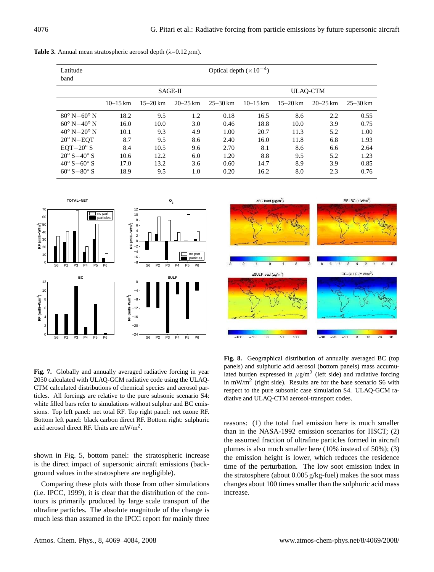| Latitude<br>band               |              |              |              |              | Optical depth $(\times 10^{-4})$ |                 |              |              |
|--------------------------------|--------------|--------------|--------------|--------------|----------------------------------|-----------------|--------------|--------------|
|                                | SAGE-II      |              |              |              |                                  | <b>ULAQ-CTM</b> |              |              |
|                                | $10 - 15$ km | $15 - 20$ km | $20 - 25$ km | $25 - 30$ km | $10 - 15$ km                     | $15 - 20$ km    | $20 - 25$ km | $25 - 30$ km |
| $80^{\circ}$ N $-60^{\circ}$ N | 18.2         | 9.5          | 1.2          | 0.18         | 16.5                             | 8.6             | 2.2          | 0.55         |
| $60^{\circ}$ N $-40^{\circ}$ N | 16.0         | 10.0         | 3.0          | 0.46         | 18.8                             | 10.0            | 3.9          | 0.75         |
| $40^{\circ}$ N $-20^{\circ}$ N | 10.1         | 9.3          | 4.9          | 1.00         | 20.7                             | 11.3            | 5.2          | 1.00         |
| $20^{\circ}$ N-EOT             | 8.7          | 9.5          | 8.6          | 2.40         | 16.0                             | 11.8            | 6.8          | 1.93         |
| $EOT-20^\circ S$               | 8.4          | 10.5         | 9.6          | 2.70         | 8.1                              | 8.6             | 6.6          | 2.64         |
| $20^{\circ} S - 40^{\circ} S$  | 10.6         | 12.2         | 6.0          | 1.20         | 8.8                              | 9.5             | 5.2          | 1.23         |
| $40^{\circ} S - 60^{\circ} S$  | 17.0         | 13.2         | 3.6          | 0.60         | 14.7                             | 8.9             | 3.9          | 0.85         |
| $60^{\circ} S - 80^{\circ} S$  | 18.9         | 9.5          | 1.0          | 0.20         | 16.2                             | 8.0             | 2.3          | 0.76         |

**Table 3.** Annual mean stratospheric aerosol depth  $(\lambda=0.12 \mu m)$ .





**Fig. 7.** Globally and annually averaged radiative forcing in year 2050 calculated with ULAQ-GCM radiative code using the ULAQ-CTM calculated distributions of chemical species and aerosol particles. All forcings are relative to the pure subsonic scenario S4: white filled bars refer to simulations without sulphur and BC emissions. Top left panel: net total RF. Top right panel: net ozone RF. Bottom left panel: black carbon direct RF. Bottom right: sulphuric acid aerosol direct RF. Units are  $mW/m<sup>2</sup>$ .

shown in Fig. 5, bottom panel: the stratospheric increase is the direct impact of supersonic aircraft emissions (background values in the stratosphere are negligible).

Comparing these plots with those from other simulations (i.e. IPCC, 1999), it is clear that the distribution of the contours is primarily produced by large scale transport of the ultrafine particles. The absolute magnitude of the change is much less than assumed in the IPCC report for mainly three

**Fig. 8.** Geographical distribution of annually averaged BC (top panels) and sulphuric acid aerosol (bottom panels) mass accumulated burden expressed in  $\mu$ g/m<sup>2</sup> (left side) and radiative forcing in mW/m<sup>2</sup> (right side). Results are for the base scenario S6 with respect to the pure subsonic case simulation S4. ULAQ-GCM radiative and ULAQ-CTM aerosol-transport codes.

reasons: (1) the total fuel emission here is much smaller than in the NASA-1992 emission scenarios for HSCT; (2) the assumed fraction of ultrafine particles formed in aircraft plumes is also much smaller here (10% instead of 50%); (3) the emission height is lower, which reduces the residence time of the perturbation. The low soot emission index in the stratosphere (about 0.005 g/kg-fuel) makes the soot mass changes about 100 times smaller than the sulphuric acid mass increase.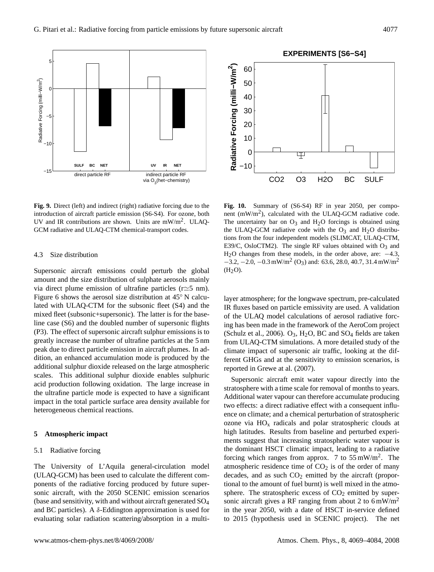

**Fig. 9.** Direct (left) and indirect (right) radiative forcing due to the introduction of aircraft particle emission (S6-S4). For ozone, both UV and IR contributions are shown. Units are  $mW/m^2$ . ULAQ-GCM radiative and ULAQ-CTM chemical-transport codes.

## 4.3 Size distribution

Supersonic aircraft emissions could perturb the global amount and the size distribution of sulphate aerosols mainly via direct plume emission of ultrafine particles ( $r \approx 5$  nm). Figure 6 shows the aerosol size distribution at 45◦ N calculated with ULAQ-CTM for the subsonic fleet (S4) and the mixed fleet (subsonic+supersonic). The latter is for the baseline case (S6) and the doubled number of supersonic flights (P3). The effect of supersonic aircraft sulphur emissions is to greatly increase the number of ultrafine particles at the 5 nm peak due to direct particle emission in aircraft plumes. In addition, an enhanced accumulation mode is produced by the additional sulphur dioxide released on the large atmospheric scales. This additional sulphur dioxide enables sulphuric acid production following oxidation. The large increase in the ultrafine particle mode is expected to have a significant impact in the total particle surface area density available for heterogeneous chemical reactions.

#### **5 Atmospheric impact**

## 5.1 Radiative forcing

The University of L'Aquila general-circulation model (ULAQ-GCM) has been used to calculate the different components of the radiative forcing produced by future supersonic aircraft, with the 2050 SCENIC emission scenarios (base and sensitivity, with and without aircraft generated SO<sup>4</sup> and BC particles). A  $\delta$ -Eddington approximation is used for evaluating solar radiation scattering/absorption in a multi-



**Fig. 10.** Summary of (S6-S4) RF in year 2050, per component  $(mW/m<sup>2</sup>)$ , calculated with the ULAQ-GCM radiative code. The uncertainty bar on  $O_3$  and  $H_2O$  forcings is obtained using the ULAQ-GCM radiative code with the  $O_3$  and  $H_2O$  distributions from the four independent models (SLIMCAT, ULAQ-CTM, E39/C, OsloCTM2). The single RF values obtained with  $O_3$  and H<sub>2</sub>O changes from these models, in the order above, are:  $-4.3$ ,  $-3.2, -2.0, -0.3$  mW/m<sup>2</sup> (O<sub>3</sub>) and: 63.6, 28.0, 40.7, 31.4 mW/m<sup>2</sup>  $(H<sub>2</sub>O).$ 

layer atmosphere; for the longwave spectrum, pre-calculated IR fluxes based on particle emissivity are used. A validation of the ULAQ model calculations of aerosol radiative forcing has been made in the framework of the AeroCom project (Schulz et al., 2006).  $O_3$ , H<sub>2</sub>O, BC and SO<sub>4</sub> fields are taken from ULAQ-CTM simulations. A more detailed study of the climate impact of supersonic air traffic, looking at the different GHGs and at the sensitivity to emission scenarios, is reported in Grewe at al. (2007).

Supersonic aircraft emit water vapour directly into the stratosphere with a time scale for removal of months to years. Additional water vapour can therefore accumulate producing two effects: a direct radiative effect with a consequent influence on climate; and a chemical perturbation of stratospheric ozone via  $HO_x$  radicals and polar stratospheric clouds at high latitudes. Results from baseline and perturbed experiments suggest that increasing stratospheric water vapour is the dominant HSCT climatic impact, leading to a radiative forcing which ranges from approx. 7 to  $55 \text{ mW/m}^2$ . The atmospheric residence time of  $CO<sub>2</sub>$  is of the order of many decades, and as such  $CO<sub>2</sub>$  emitted by the aircraft (proportional to the amount of fuel burnt) is well mixed in the atmosphere. The stratospheric excess of  $CO<sub>2</sub>$  emitted by supersonic aircraft gives a RF ranging from about 2 to  $6 \text{ mW/m}^2$ in the year 2050, with a date of HSCT in-service defined to 2015 (hypothesis used in SCENIC project). The net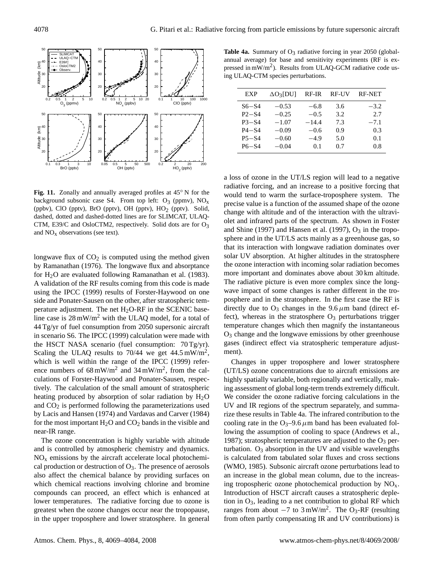

**Fig. 11.** Zonally and annually averaged profiles at 45◦ N for the background subsonic case S4. From top left:  $O_3$  (ppmv),  $NO<sub>x</sub>$ (ppbv), ClO (pptv), BrO (pptv), OH (pptv), HO<sub>2</sub> (pptv). Solid, dashed, dotted and dashed-dotted lines are for SLIMCAT, ULAQ-CTM, E39/C and OsloCTM2, respectively. Solid dots are for  $O_3$ and  $NO<sub>x</sub>$  observations (see text).

longwave flux of  $CO<sub>2</sub>$  is computed using the method given by Ramanathan (1976). The longwave flux and absorptance for  $H_2O$  are evaluated following Ramanathan et al. (1983). A validation of the RF results coming from this code is made using the IPCC (1999) results of Forster-Haywood on one side and Ponater-Sausen on the other, after stratospheric temperature adjustment. The net  $H<sub>2</sub>O-RF$  in the SCENIC baseline case is 28 mW/m<sup>2</sup> with the ULAQ model, for a total of 44 Tg/yr of fuel consumption from 2050 supersonic aircraft in scenario S6. The IPCC (1999) calculation were made with the HSCT NASA scenario (fuel consumption: 70 Tg/yr). Scaling the ULAQ results to 70/44 we get  $44.5 \text{ mW/m}^2$ , which is well within the range of the IPCC (1999) reference numbers of 68 mW/m<sup>2</sup> and 34 mW/m<sup>2</sup>, from the calculations of Forster-Haywood and Ponater-Sausen, respectively. The calculation of the small amount of stratospheric heating produced by absorption of solar radiation by  $H_2O$ and  $CO<sub>2</sub>$  is performed following the parameterizations used by Lacis and Hansen (1974) and Vardavas and Carver (1984) for the most important  $H_2O$  and  $CO_2$  bands in the visible and near-IR range.

The ozone concentration is highly variable with altitude and is controlled by atmospheric chemistry and dynamics.  $NO<sub>x</sub>$  emissions by the aircraft accelerate local photochemical production or destruction of  $O_3$ . The presence of aerosols also affect the chemical balance by providing surfaces on which chemical reactions involving chlorine and bromine compounds can proceed, an effect which is enhanced at lower temperatures. The radiative forcing due to ozone is greatest when the ozone changes occur near the tropopause, in the upper troposphere and lower stratosphere. In general

Table 4a. Summary of O<sub>3</sub> radiative forcing in year 2050 (globalannual average) for base and sensitivity experiments (RF is expressed in  $mW/m<sup>2</sup>$ ). Results from ULAQ-GCM radiative code using ULAQ-CTM species perturbations.

| EXP       | $\Delta O_3$ [DU] | $RF-IR$ | RF-UV | <b>RF-NET</b> |
|-----------|-------------------|---------|-------|---------------|
| $S6-S4$   | $-0.53$           | $-6.8$  | 3.6   | $-3.2$        |
| $P2 - S4$ | $-0.25$           | $-0.5$  | 3.2   | 2.7           |
| $P3 - S4$ | $-1.07$           | $-14.4$ | 7.3   | $-7.1$        |
| $P4 - S4$ | $-0.09$           | $-0.6$  | 0.9   | 0.3           |
| $P5 - S4$ | $-0.60$           | $-4.9$  | 5.0   | 0.1           |
| $P6 - S4$ | $-0.04$           | 0.1     | 0.7   | 0.8           |
|           |                   |         |       |               |

a loss of ozone in the UT/LS region will lead to a negative radiative forcing, and an increase to a positive forcing that would tend to warm the surface-troposphere system. The precise value is a function of the assumed shape of the ozone change with altitude and of the interaction with the ultraviolet and infrared parts of the spectrum. As shown in Foster and Shine (1997) and Hansen et al. (1997),  $O_3$  in the troposphere and in the UT/LS acts mainly as a greenhouse gas, so that its interaction with longwave radiation dominates over solar UV absorption. At higher altitudes in the stratosphere the ozone interaction with incoming solar radiation becomes more important and dominates above about 30 km altitude. The radiative picture is even more complex since the longwave impact of some changes is rather different in the troposphere and in the stratosphere. In the first case the RF is directly due to  $O_3$  changes in the 9.6  $\mu$ m band (direct effect), whereas in the stratosphere  $O<sub>3</sub>$  perturbations trigger temperature changes which then magnify the instantaneous O<sup>3</sup> change and the longwave emissions by other greenhouse gases (indirect effect via stratospheric temperature adjustment).

Changes in upper troposphere and lower stratosphere (UT/LS) ozone concentrations due to aircraft emissions are highly spatially variable, both regionally and vertically, making assessment of global long-term trends extremely difficult. We consider the ozone radiative forcing calculations in the UV and IR regions of the spectrum separately, and summarize these results in Table 4a. The infrared contribution to the cooling rate in the  $O_3$ –9.6  $\mu$ m band has been evaluated following the assumption of cooling to space (Andrews et al., 1987); stratospheric temperatures are adjusted to the  $O_3$  perturbation.  $O_3$  absorption in the UV and visible wavelengths is calculated from tabulated solar fluxes and cross sections (WMO, 1985). Subsonic aircraft ozone perturbations lead to an increase in the global mean column, due to the increasing tropospheric ozone photochemical production by  $NO<sub>x</sub>$ . Introduction of HSCT aircraft causes a stratospheric depletion in  $O_3$ , leading to a net contribution to global RF which ranges from about  $-7$  to 3 mW/m<sup>2</sup>. The O<sub>3</sub>-RF (resulting from often partly compensating IR and UV contributions) is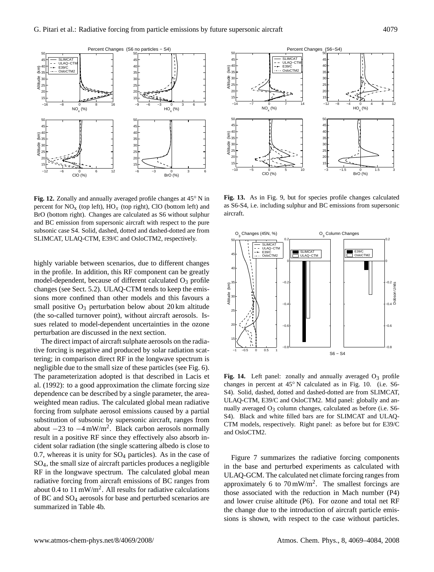

**Fig. 12.** Zonally and annually averaged profile changes at 45◦ N in percent for  $NO<sub>x</sub>$  (top left),  $HO<sub>x</sub>$  (top right), ClO (bottom left) and BrO (bottom right). Changes are calculated as S6 without sulphur and BC emission from supersonic aircraft with respect to the pure subsonic case S4. Solid, dashed, dotted and dashed-dotted are from SLIMCAT, ULAQ-CTM, E39/C and OsloCTM2, respectively.

highly variable between scenarios, due to different changes in the profile. In addition, this RF component can be greatly model-dependent, because of different calculated  $O<sub>3</sub>$  profile changes (see Sect. 5.2). ULAQ-CTM tends to keep the emissions more confined than other models and this favours a small positive  $O_3$  perturbation below about 20 km altitude (the so-called turnover point), without aircraft aerosols. Issues related to model-dependent uncertainties in the ozone perturbation are discussed in the next section.

The direct impact of aircraft sulphate aerosols on the radiative forcing is negative and produced by solar radiation scattering; in comparison direct RF in the longwave spectrum is negligible due to the small size of these particles (see Fig. 6). The parameterization adopted is that described in Lacis et al. (1992): to a good approximation the climate forcing size dependence can be described by a single parameter, the areaweighted mean radius. The calculated global mean radiative forcing from sulphate aerosol emissions caused by a partial substitution of subsonic by supersonic aircraft, ranges from about  $-23$  to  $-4$  mW/m<sup>2</sup>. Black carbon aerosols normally result in a positive RF since they effectively also absorb incident solar radiation (the single scattering albedo is close to 0.7, whereas it is unity for  $SO_4$  particles). As in the case of SO4, the small size of aircraft particles produces a negligible RF in the longwave spectrum. The calculated global mean radiative forcing from aircraft emissions of BC ranges from about 0.4 to 11 mW/m<sup>2</sup>. All results for radiative calculations of BC and SO<sup>4</sup> aerosols for base and perturbed scenarios are summarized in Table 4b.



**Fig. 13.** As in Fig. 9, but for species profile changes calculated as S6-S4, i.e. including sulphur and BC emissions from supersonic aircraft.



Fig. 14. Left panel: zonally and annually averaged  $O_3$  profile changes in percent at 45◦ N calculated as in Fig. 10. (i.e. S6- S4). Solid, dashed, dotted and dashed-dotted are from SLIMCAT, ULAQ-CTM, E39/C and OsloCTM2. Mid panel: globally and annually averaged  $O_3$  column changes, calculated as before (i.e. S6-S4). Black and white filled bars are for SLIMCAT and ULAQ-CTM models, respectively. Right panel: as before but for E39/C and OsloCTM2.

Figure 7 summarizes the radiative forcing components in the base and perturbed experiments as calculated with ULAQ-GCM. The calculated net climate forcing ranges from approximately 6 to  $70 \text{ mW/m}^2$ . The smallest forcings are those associated with the reduction in Mach number (P4) and lower cruise altitude (P6). For ozone and total net RF the change due to the introduction of aircraft particle emissions is shown, with respect to the case without particles.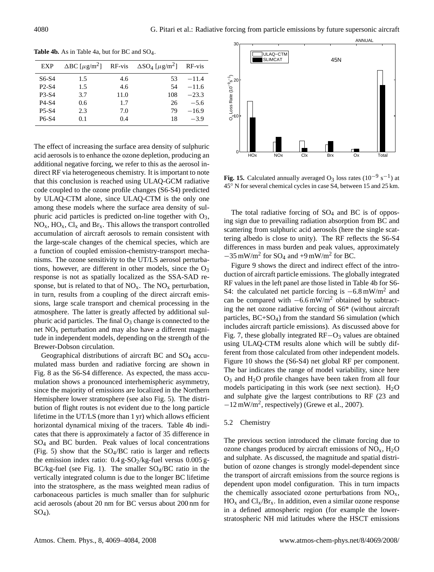| <b>EXP</b>                     | $\triangle$ BC [ $\mu$ g/m <sup>2</sup> ] RF-vis |      | $\Delta SO_4 \left[\mu g/m^2\right]$ | RF-vis  |
|--------------------------------|--------------------------------------------------|------|--------------------------------------|---------|
| S6-S4                          | 1.5                                              | 4.6  | 53                                   | $-11.4$ |
| P <sub>2</sub> -S <sub>4</sub> | 1.5                                              | 4.6  | 54                                   | $-11.6$ |
| P <sub>3</sub> -S <sub>4</sub> | 3.7                                              | 11.0 | 108                                  | $-23.3$ |
| P <sub>4</sub> -S <sub>4</sub> | 0.6                                              | 1.7  | 26                                   | $-5.6$  |
| <b>P5-S4</b>                   | 2.3                                              | 7.0  | 79                                   | $-16.9$ |
| P <sub>6</sub> -S <sub>4</sub> | 0.1                                              | 0.4  | 18                                   | $-3.9$  |

**Table 4b.** As in Table 4a, but for BC and SO4.

The effect of increasing the surface area density of sulphuric acid aerosols is to enhance the ozone depletion, producing an additional negative forcing, we refer to this as the aerosol indirect RF via heterogeneous chemistry. It is important to note that this conclusion is reached using ULAQ-GCM radiative code coupled to the ozone profile changes (S6-S4) predicted by ULAQ-CTM alone, since ULAQ-CTM is the only one among these models where the surface area density of sulphuric acid particles is predicted on-line together with  $O_3$ ,  $NO<sub>x</sub>$ ,  $HO<sub>x</sub>$ ,  $Cl<sub>x</sub>$  and  $Br<sub>x</sub>$ . This allows the transport controlled accumulation of aircraft aerosols to remain consistent with the large-scale changes of the chemical species, which are a function of coupled emission-chemistry-transport mechanisms. The ozone sensitivity to the UT/LS aerosol perturbations, however, are different in other models, since the  $O_3$ response is not as spatially localized as the SSA-SAD response, but is related to that of  $NO<sub>x</sub>$ . The  $NO<sub>x</sub>$  perturbation, in turn, results from a coupling of the direct aircraft emissions, large scale transport and chemical processing in the atmosphere. The latter is greatly affected by additional sulphuric acid particles. The final  $O_3$  change is connected to the net  $NO<sub>x</sub>$  perturbation and may also have a different magnitude in independent models, depending on the strength of the Brewer-Dobson circulation.

Geographical distributions of aircraft BC and  $SO_4$  accumulated mass burden and radiative forcing are shown in Fig. 8 as the S6-S4 difference. As expected, the mass accumulation shows a pronounced interhemispheric asymmetry, since the majority of emissions are localized in the Northern Hemisphere lower stratosphere (see also Fig. 5). The distribution of flight routes is not evident due to the long particle lifetime in the UT/LS (more than 1 yr) which allows efficient horizontal dynamical mixing of the tracers. Table 4b indicates that there is approximately a factor of 35 difference in SO<sup>4</sup> and BC burden. Peak values of local concentrations (Fig. 5) show that the  $SO_4/BC$  ratio is larger and reflects the emission index ratio:  $0.4$  g-SO<sub>2</sub>/kg-fuel versus  $0.005$  g- $BC/kg$ -fuel (see Fig. 1). The smaller  $SO_4/BC$  ratio in the vertically integrated column is due to the longer BC lifetime into the stratosphere, as the mass weighted mean radius of carbonaceous particles is much smaller than for sulphuric acid aerosols (about 20 nm for BC versus about 200 nm for  $SO<sub>4</sub>$ ).



**Fig. 15.** Calculated annually averaged  $O_3$  loss rates ( $10^{-9}$  s<sup>-1</sup>) at 45◦ N for several chemical cycles in case S4, between 15 and 25 km.

The total radiative forcing of  $SO_4$  and BC is of opposing sign due to prevailing radiation absorption from BC and scattering from sulphuric acid aerosols (here the single scattering albedo is close to unity). The RF reflects the S6-S4 differences in mass burden and peak values, approximately  $-35 \text{ mW/m}^2$  for SO<sub>4</sub> and +9 mW/m<sup>2</sup> for BC.

Figure 9 shows the direct and indirect effect of the introduction of aircraft particle emissions. The globally integrated RF values in the left panel are those listed in Table 4b for S6- S4: the calculated net particle forcing is  $-6.8 \text{ mW/m}^2$  and can be compared with  $-6.6$  mW/m<sup>2</sup> obtained by subtracting the net ozone radiative forcing of S6\* (without aircraft particles, BC+SO4) from the standard S6 simulation (which includes aircraft particle emissions). As discussed above for Fig. 7, these globally integrated RF−O<sup>3</sup> values are obtained using ULAQ-CTM results alone which will be subtly different from those calculated from other independent models. Figure 10 shows the (S6-S4) net global RF per component. The bar indicates the range of model variability, since here  $O_3$  and  $H_2O$  profile changes have been taken from all four models participating in this work (see next section).  $H_2O$ and sulphate give the largest contributions to RF (23 and −12 mW/m<sup>2</sup> , respectively) (Grewe et al., 2007).

## 5.2 Chemistry

The previous section introduced the climate forcing due to ozone changes produced by aircraft emissions of  $NO_x$ ,  $H_2O$ and sulphate. As discussed, the magnitude and spatial distribution of ozone changes is strongly model-dependent since the transport of aircraft emissions from the source regions is dependent upon model configuration. This in turn impacts the chemically associated ozone perturbations from  $NO<sub>x</sub>$ ,  $HO_x$  and  $Cl_x/Br_x$ . In addition, even a similar ozone response in a defined atmospheric region (for example the lowerstratospheric NH mid latitudes where the HSCT emissions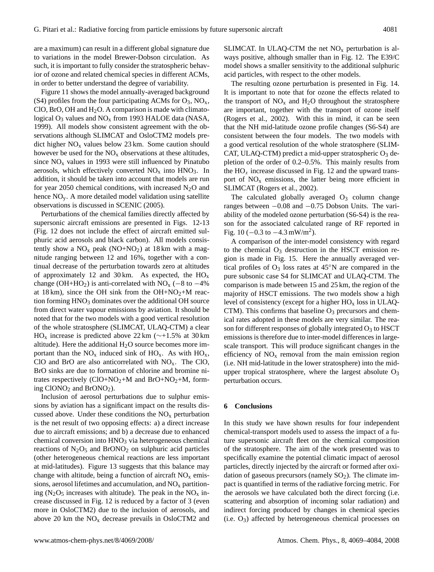are a maximum) can result in a different global signature due to variations in the model Brewer-Dobson circulation. As such, it is important to fully consider the stratospheric behavior of ozone and related chemical species in different ACMs, in order to better understand the degree of variability.

Figure 11 shows the model annually-averaged background (S4) profiles from the four participating ACMs for  $O_3$ ,  $NO_x$ , ClO, BrO, OH and  $H_2O$ . A comparison is made with climatological  $O_3$  values and  $NO_x$  from 1993 HALOE data (NASA, 1999). All models show consistent agreement with the observations although SLIMCAT and OsloCTM2 models predict higher  $NO<sub>x</sub>$  values below 23 km. Some caution should however be used for the  $NO<sub>x</sub>$  observations at these altitudes, since  $NO<sub>x</sub>$  values in 1993 were still influenced by Pinatubo aerosols, which effectively converted  $NO<sub>x</sub>$  into  $HNO<sub>3</sub>$ . In addition, it should be taken into account that models are run for year 2050 chemical conditions, with increased  $N_2O$  and hence NOy. A more detailed model validation using satellite observations is discussed in SCENIC (2005).

Perturbations of the chemical families directly affected by supersonic aircraft emissions are presented in Figs. 12-13 (Fig. 12 does not include the effect of aircraft emitted sulphuric acid aerosols and black carbon). All models consistently show a  $NO<sub>x</sub>$  peak (NO+NO<sub>2</sub>) at 18 km with a magnitude ranging between 12 and 16%, together with a continual decrease of the perturbation towards zero at altitudes of approximately 12 and 30 km. As expected, the  $HO_x$ change (OH+HO<sub>2</sub>) is anti-correlated with NO<sub>x</sub> (−8 to  $-4\%$ ) at 18 km), since the OH sink from the OH+NO<sub>2</sub>+M reaction forming  $HNO<sub>3</sub>$  dominates over the additional OH source from direct water vapour emissions by aviation. It should be noted that for the two models with a good vertical resolution of the whole stratosphere (SLIMCAT, ULAQ-CTM) a clear HO<sub>x</sub> increase is predicted above 22 km ( $\sim$ +1.5% at 30 km altitude). Here the additional  $H_2O$  source becomes more important than the  $NO_x$  induced sink of  $HO_x$ . As with  $HO_x$ , ClO and BrO are also anticorrelated with  $NO<sub>x</sub>$ . The ClO, BrO sinks are due to formation of chlorine and bromine nitrates respectively  $(CIO+NO<sub>2</sub>+M$  and  $BrO+NO<sub>2</sub>+M$ , forming  $CIONO<sub>2</sub>$  and  $BrONO<sub>2</sub>$ ).

Inclusion of aerosol perturbations due to sulphur emissions by aviation has a significant impact on the results discussed above. Under these conditions the  $NO<sub>x</sub>$  perturbation is the net result of two opposing effects: a) a direct increase due to aircraft emissions; and b) a decrease due to enhanced chemical conversion into HNO<sub>3</sub> via heterogeneous chemical reactions of  $N_2O_5$  and  $BrONO_2$  on sulphuric acid particles (other heterogeneous chemical reactions are less important at mid-latitudes). Figure 13 suggests that this balance may change with altitude, being a function of aircraft  $NO<sub>x</sub>$  emissions, aerosol lifetimes and accumulation, and  $NO<sub>x</sub>$  partitioning ( $N_2O_5$  increases with altitude). The peak in the  $NO<sub>x</sub>$  increase discussed in Fig. 12 is reduced by a factor of 3 (even more in OsloCTM2) due to the inclusion of aerosols, and above 20 km the  $NO<sub>x</sub>$  decrease prevails in OsloCTM2 and SLIMCAT. In ULAQ-CTM the net  $NO<sub>x</sub>$  perturbation is always positive, although smaller than in Fig. 12. The E39/C model shows a smaller sensitivity to the additional sulphuric acid particles, with respect to the other models.

The resulting ozone perturbation is presented in Fig. 14. It is important to note that for ozone the effects related to the transport of  $NO<sub>x</sub>$  and  $H<sub>2</sub>O$  throughout the stratosphere are important, together with the transport of ozone itself (Rogers et al., 2002). With this in mind, it can be seen that the NH mid-latitude ozone profile changes (S6-S4) are consistent between the four models. The two models with a good vertical resolution of the whole stratosphere (SLIM-CAT, ULAQ-CTM) predict a mid-upper stratospheric  $O_3$  depletion of the order of 0.2–0.5%. This mainly results from the  $HO_x$  increase discussed in Fig. 12 and the upward transport of  $NO<sub>x</sub>$  emissions, the latter being more efficient in SLIMCAT (Rogers et al., 2002).

The calculated globally averaged  $O<sub>3</sub>$  column change ranges between −0.08 and −0.75 Dobson Units. The variability of the modeled ozone perturbation (S6-S4) is the reason for the associated calculated range of RF reported in Fig. 10 ( $-0.3$  to  $-4.3$  mW/m<sup>2</sup>).

A comparison of the inter-model consistency with regard to the chemical  $O_3$  destruction in the HSCT emission region is made in Fig. 15. Here the annually averaged vertical profiles of  $O_3$  loss rates at 45<sup>°</sup>N are compared in the pure subsonic case S4 for SLIMCAT and ULAQ-CTM. The comparison is made between 15 and 25 km, the region of the majority of HSCT emissions. The two models show a high level of consistency (except for a higher  $HO<sub>x</sub>$  loss in ULAQ- $CTM$ ). This confirms that baseline  $O<sub>3</sub>$  precursors and chemical rates adopted in these models are very similar. The reason for different responses of globally integrated  $O_3$  to HSCT emissions is therefore due to inter-model differences in largescale transport. This will produce significant changes in the efficiency of  $NO<sub>x</sub>$  removal from the main emission region (i.e. NH mid-latitude in the lower stratosphere) into the midupper tropical stratosphere, where the largest absolute  $O_3$ perturbation occurs.

#### **6 Conclusions**

In this study we have shown results for four independent chemical-transport models used to assess the impact of a future supersonic aircraft fleet on the chemical composition of the stratosphere. The aim of the work presented was to specifically examine the potential climatic impact of aerosol particles, directly injected by the aircraft or formed after oxidation of gaseous precursors (namely  $SO<sub>2</sub>$ ). The climate impact is quantified in terms of the radiative forcing metric. For the aerosols we have calculated both the direct forcing (i.e. scattering and absorption of incoming solar radiation) and indirect forcing produced by changes in chemical species (i.e. O3) affected by heterogeneous chemical processes on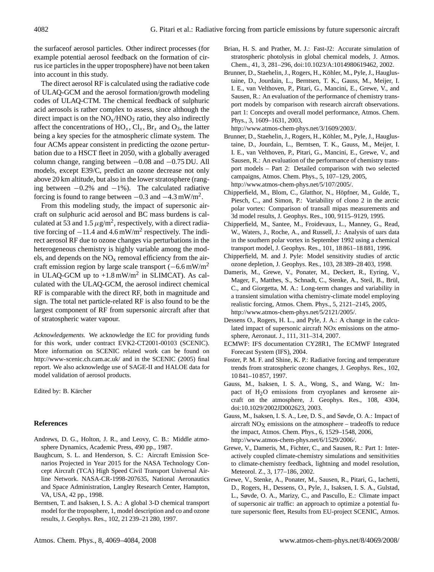the surfaceof aerosol particles. Other indirect processes (for example potential aerosol feedback on the formation of cirrus ice particles in the upper troposphere) have not been taken into account in this study.

The direct aerosol RF is calculated using the radiative code of ULAQ-GCM and the aerosol formation/growth modeling codes of ULAQ-CTM. The chemical feedback of sulphuric acid aerosols is rather complex to assess, since although the direct impact is on the  $NO<sub>x</sub>/HNO<sub>3</sub>$  ratio, they also indirectly affect the concentrations of  $HO_x$ ,  $Cl_x$ ,  $Br_x$  and  $O_3$ , the latter being a key species for the atmospheric climate system. The four ACMs appear consistent in predicting the ozone perturbation due to a HSCT fleet in 2050, with a globally averaged column change, ranging between −0.08 and −0.75 DU. All models, except E39/C, predict an ozone decrease not only above 20 km altitude, but also in the lower stratosphere (ranging between  $-0.2\%$  and  $-1\%$ ). The calculated radiative forcing is found to range between  $-0.3$  and  $-4.3$  mW/m<sup>2</sup>.

From this modeling study, the impact of supersonic aircraft on sulphuric acid aerosol and BC mass burdens is calculated at 53 and 1.5  $\mu$ g/m<sup>2</sup>, respectively, with a direct radiative forcing of  $-11.4$  and  $4.6$  mW/m<sup>2</sup> respectively. The indirect aerosol RF due to ozone changes via perturbations in the heterogeneous chemistry is highly variable among the models, and depends on the  $NO<sub>x</sub>$  removal efficiency from the aircraft emission region by large scale transport  $(-6.6 \text{ mW/m}^2)$ in ULAQ-GCM up to  $+1.8 \text{ mW/m}^2$  in SLIMCAT). As calculated with the ULAQ-GCM, the aerosol indirect chemical RF is comparable with the direct RF, both in magnitude and sign. The total net particle-related RF is also found to be the largest component of RF from supersonic aircraft after that of stratospheric water vapour.

*Acknowledgements.* We acknowledge the EC for providing funds for this work, under contract EVK2-CT2001-00103 (SCENIC). More information on SCENIC related work can be found on <http://www-scenic.ch.cam.ac.uk/> and in the SCENIC (2005) final report. We also acknowledge use of SAGE-II and HALOE data for model validation of aerosol products.

Edited by: B. Kärcher

# **References**

- Andrews, D. G., Holton, J. R., and Leovy, C. B.: Middle atmosphere Dynamics, Academic Press, 490 pp., 1987.
- Baughcum, S. L. and Henderson, S. C.: Aircraft Emission Scenarios Projected in Year 2015 for the NASA Technology Concept Aircraft (TCA) High Speed Civil Transport Universal Airline Network. NASA-CR-1998-207635, National Aeronautics and Space Administration, Langley Research Center, Hampton, VA, USA, 42 pp., 1998.
- Berntsen, T. and Isaksen, I. S. A.: A global 3-D chemical transport model for the troposphere, 1, model description and co and ozone results, J. Geophys. Res., 102, 21 239–21 280, 1997.
- Brian, H. S. and Prather, M. J.: Fast-J2: Accurate simulation of stratospheric photolysis in global chemical models, J. Atmos. Chem., 41, 3, 281–296, doi:10.1023/A:1014980619462, 2002.
- Brunner, D., Staehelin, J., Rogers, H., Köhler, M., Pyle, J., Hauglustaine, D., Jourdain, L., Berntsen, T. K., Gauss, M., Meijer, I. I. E., van Velthoven, P., Pitari, G., Mancini, E., Grewe, V., and Sausen, R.: An evaluation of the performance of chemistry transport models by comparison with research aircraft observations. part 1: Concepts and overall model performance, Atmos. Chem. Phys., 3, 1609–1631, 2003,

[http://www.atmos-chem-phys.net/3/1609/2003/.](http://www.atmos-chem-phys.net/3/1609/2003/)

- Brunner, D., Staehelin, J., Rogers, H., Köhler, M., Pyle, J., Hauglustaine, D., Jourdain, L., Berntsen, T. K., Gauss, M., Meijer, I. I. E., van Velthoven, P., Pitari, G., Mancini, E., Grewe, V., and Sausen, R.: An evaluation of the performance of chemistry transport models – Part 2: Detailed comparison with two selected campaigns, Atmos. Chem. Phys., 5, 107–129, 2005, [http://www.atmos-chem-phys.net/5/107/2005/.](http://www.atmos-chem-phys.net/5/107/2005/)
- Chipperfield, M., Blom, C., Glatthor, N., Höpfner, M., Gulde, T., Piesch, C., and Simon, P.: Variability of clono 2 in the arctic polar vortex: Comparison of transall mipas measurements and 3d model results, J. Geophys. Res., 100, 9115–9129, 1995.
- Chipperfield, M., Santee, M., Froidevaux, L., Manney, G., Read, W., Waters, J., Roche, A., and Russell, J.: Analysis of uars data in the southern polar vortex in September 1992 using a chemical transport model, J. Geophys. Res., 101, 18 861–18 881, 1996.
- Chipperfield, M. and J. Pyle: Model sensitivity studies of arctic ozone depletion, J. Geophys. Res., 103, 28 389–28 403, 1998.
- Dameris, M., Grewe, V., Ponater, M., Deckert, R., Eyring, V., Mager, F., Matthes, S., Schnadt, C., Stenke, A., Steil, B., Brül, C., and Giorgetta, M. A.: Long-term changes and variability in a transient simulation witha chemistry-climate model employing realistic forcing, Atmos. Chem. Phys., 5, 2121–2145, 2005, [http://www.atmos-chem-phys.net/5/2121/2005/.](http://www.atmos-chem-phys.net/5/2121/2005/)
- Dessens O., Rogers, H. L., and Pyle, J. A.: A change in the calculated impact of supersonic aircraft NOx emissions on the atmosphere, Aeronaut. J., 111, 311–314, 2007.
- ECMWF: IFS documentation CY28R1, The ECMWF Integrated Forecast System (IFS), 2004.
- Foster, P. M. F. and Shine, K. P.: Radiative forcing and temperature trends from stratospheric ozone changes, J. Geophys. Res., 102, 10 841–10 857, 1997.
- Gauss, M., Isaksen, I. S. A., Wong, S., and Wang, W.: Impact of H2O emissions from cryoplanes and kerosene aircraft on the atmosphere, J. Geophys. Res., 108, 4304, doi:10.1029/2002JD002623, 2003.
- Gauss, M., Isaksen, I. S. A., Lee, D. S., and Søvde, O. A.: Impact of aircraft  $NO<sub>X</sub>$  emissions on the atmosphere – tradeoffs to reduce the impact, Atmos. Chem. Phys., 6, 1529–1548, 2006, [http://www.atmos-chem-phys.net/6/1529/2006/.](http://www.atmos-chem-phys.net/6/1529/2006/)
- Grewe, V., Dameris, M., Fichter, C., and Sausen, R.: Part 1: Interactively coupled climate-chemistry simulations and sensitivities to climate-chemistry feedback, lightning and model resolution, Meteorol. Z., 3, 177–186, 2002.
- Grewe, V., Stenke, A., Ponater, M., Sausen, R., Pitari, G., Iachetti, D., Rogers, H., Dessens, O., Pyle, J., Isaksen, I. S. A., Gulstad, L., Søvde, O. A., Marizy, C., and Pascullo, E.: Climate impact of supersonic air traffic: an approach to optimize a potential future supersonic fleet, Results from EU-project SCENIC, Atmos.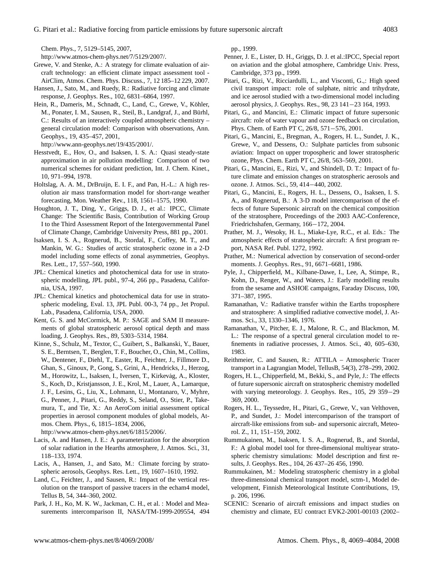Chem. Phys., 7, 5129–5145, 2007,

[http://www.atmos-chem-phys.net/7/5129/2007/.](http://www.atmos-chem-phys.net/7/5129/2007/)

- Grewe, V. and Stenke, A.: A strategy for climate evaluation of aircraft technology: an efficient climate impact assessment tool - AirClim, Atmos. Chem. Phys. Discuss., 7, 12 185–12 229, 2007.
- Hansen, J., Sato, M., and Ruedy, R.: Radiative forcing and climate response, J. Geophys. Res., 102, 6831–6864, 1997.
- Hein, R., Dameris, M., Schnadt, C., Land, C., Grewe, V., Köhler, M., Ponater, I. M., Sausen, R., Steil, B., Landgraf, J., and Bürhl, C.: Results of an interactively coupled atmospheric chemistry – general circulation model: Comparison with observations, Ann. Geophys., 19, 435–457, 2001,

[http://www.ann-geophys.net/19/435/2001/.](http://www.ann-geophys.net/19/435/2001/)

- Hesstvedt, E., Hov, O., and Isaksen, I. S. A.: Quasi steady-state approximation in air pollution modelling: Comparison of two numerical schemes for oxidant prediction, Int. J. Chem. Kinet., 10, 971–994, 1978.
- Holtslag, A. A. M., DrBruijn, E. I. F., and Pan, H.-L.: A high resolution air mass transformation model for short-range weather forecasting, Mon. Weather Rev., 118, 1561–1575, 1990.
- Houghton, J. T., Ding, Y., Griggs, D. J., et al.: IPCC, Climate Change: The Scientific Basis, Contribution of Working Group I to the Third Assessment Report of the Intergovernmental Panel of Climate Change, Cambridge University Press, 881 pp., 2001.
- Isaksen, I. S. A., Rognerud, B., Stordal, F., Coffey, M. T., and Mankin, W. G.: Studies of arctic stratospheric ozone in a 2-D model including some effects of zonal asymmetries, Geophys. Res. Lett., 17, 557–560, 1990.
- JPL: Chemical kinetics and photochemical data for use in stratospheric modelling, JPL publ., 97-4, 266 pp., Pasadena, California, USA, 1997.
- JPL: Chemical kinetics and photochemical data for use in stratospheric modeling, Eval. 13, JPL Publ. 00-3, 74 pp., Jet Propul. Lab., Pasadena, California, USA, 2000.
- Kent, G. S. and McCormick, M. P.: SAGE and SAM II measurements of global stratospheric aerosol optical depth and mass loading, J. Geophys. Res., 89, 5303–5314, 1984.
- Kinne, S., Schulz, M., Textor, C., Guibert, S., Balkanski, Y., Bauer, S. E., Berntsen, T., Berglen, T. F., Boucher, O., Chin, M., Collins, W., Dentener, F., Diehl, T., Easter, R., Feichter, J., Fillmore D., Ghan, S., Ginoux, P., Gong, S., Grini, A., Hendricks, J., Herzog, M., Horowitz, L., Isaksen, I., Iversen, T., Kirkevag, A., Kloster, S., Koch, D., Kristjansson, J. E., Krol, M., Lauer, A., Lamarque, J. F., Lesins, G., Liu, X., Lohmann, U., Montanaro, V., Myhre, G., Penner, J., Pitari, G., Reddy, S., Seland, O., Stier, P., Takemura, T., and Tie, X.: An AeroCom initial assessment optical properties in aerosol component modules of global models, Atmos. Chem. Phys., 6, 1815–1834, 2006,

[http://www.atmos-chem-phys.net/6/1815/2006/.](http://www.atmos-chem-phys.net/6/1815/2006/)

- Lacis, A. and Hansen, J. E.: A parameterization for the absorption of solar radiation in the Hearths atmosphere, J. Atmos. Sci., 31, 118–133, 1974.
- Lacis, A., Hansen, J., and Sato, M.: Climate forcing by stratospheric aerosols, Geophys. Res. Lett., 19, 1607–1610, 1992.
- Land, C., Feichter, J., and Sausen, R.: Impact of the vertical resolution on the transport of passive tracers in the echam4 model, Tellus B, 54, 344–360, 2002.
- Park, J. H., Ko, M. K. W., Jackman, C. H., et al. : Model and Measurements intercomparison II, NASA/TM-1999-209554, 494

pp., 1999.

- Penner, J. E., Lister, D. H., Griggs, D. J. et al.:IPCC, Special report on aviation and the global atmosphere, Cambridge Univ. Press, Cambridge, 373 pp., 1999.
- Pitari, G., Rizi, V., Ricciardulli, L., and Visconti, G.,: High speed civil transport impact: role of sulphate, nitric and trihydrate, and ice aerosol studied with a two-dimensional model including aerosol physics, J. Geophys. Res., 98, 23 141−23 164, 1993.
- Pitari, G., and Mancini, E.: Climatic impact of future supersonic aircraft: role of water vapour and ozone feedback on circulation, Phys. Chem. of Earth PT C, 26/8, 571−576, 2001.
- Pitari, G., Mancini, E., Bregman, A., Rogers, H. L., Sundet, J. K., Grewe, V., and Dessens, O.: Sulphate particles from subsonic aviation: Impact on upper tropospheric and lower stratospheric ozone, Phys. Chem. Earth PT C, 26/8, 563–569, 2001.
- Pitari, G., Mancini, E., Rizi, V., and Shindell, D. T.: Impact of future climate and emission changes on stratospheric aerosols and ozone. J. Atmos. Sci., 59, 414−440, 2002.
- Pitari, G., Mancini, E., Rogers, H. L., Dessens, O., Isaksen, I. S. A., and Rognerud, B.: A 3-D model intercomparison of the effects of future Supersonic aircraft on the chemical composition of the stratosphere, Proceedings of the 2003 AAC-Conference, Friedrichshafen, Germany, 166−172, 2004.
- Prather, M. J., Wesoky, H. L., Miake-Lye, R.C., et al. Eds.: The atmospheric effects of stratospheric aircraft: A first program report, NASA Ref. Publ. 1272, 1992.
- Prather, M.: Numerical advection by conservation of second-order moments. J. Geophys. Res., 91, 6671–6681, 1986.
- Pyle, J., Chipperfield, M., Kilbane-Dawe, I., Lee, A, Stimpe, R., Kohn, D., Renger, W., and Waters, J.: Early modelling results from the sesame and ASHOE campaigns, Faraday Discuss, 100, 371–387, 1995.
- Ramanathan, V.: Radiative transfer within the Earths troposphere and stratosphere: A simplified radiative convective model, J. Atmos. Sci., 33, 1330–1346, 1976.
- Ramanathan, V., Pitcher, E. J., Malone, R. C., and Blackmon, M. L.: The response of a spectral general circulation model to refinements in radiative processes, J. Atmos. Sci., 40, 605–630, 1983.
- Reithmeier, C. and Sausen, R.: ATTILA Atmospheric Tracer transport in a Lagrangian Model, TellusB, 54(3), 278–299, 2002.
- Rogers, H. L., Chipperfield, M., Bekki, S., and Pyle, J.: The effects of future supersonic aircraft on stratospheric chemistry modelled with varying meteorology. J. Geophys. Res., 105, 29 359−29 369, 2000.
- Rogers, H. L., Teyssedre, H., Pitari, G., Grewe, V., van Velthoven, P., and Sundet, J.: Model intercomparison of the transport of aircraft-like emissions from sub- and supersonic aircraft, Meteorol. Z., 11, 151–159, 2002.
- Rummukainen, M., Isaksen, I. S. A., Rognerud, B., and Stordal, F.: A global model tool for three-dimensional multiyear stratospheric chemistry simulations: Model description and first results, J. Geophys. Res., 104, 26 437–26 456, 1990.
- Rummukainen, M.: Modeling stratospheric chemistry in a global three-dimensional chemical transport model, sctm-1, Model development, Finnish Meteorological Institute Contributions, 19, p. 206, 1996.
- SCENIC: Scenario of aircraft emissions and impact studies on chemistry and climate, EU contract EVK2-2001-00103 (2002–